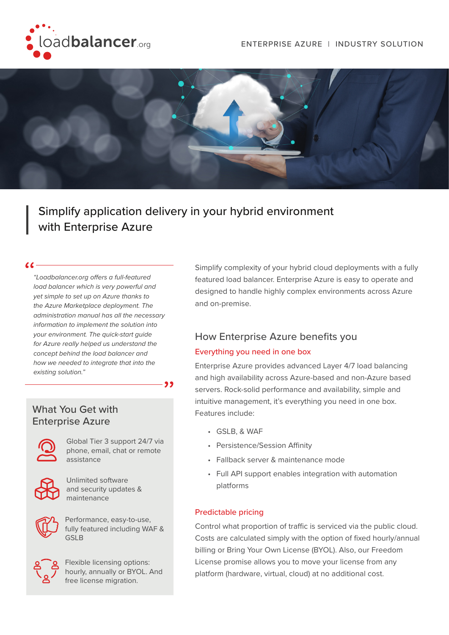



Simplify application delivery in your hybrid environment with Enterprise Azure

 $66 -$ 

*"Loadbalancer.org offers a full-featured load balancer which is very powerful and yet simple to set up on Azure thanks to the Azure Marketplace deployment. The administration manual has all the necessary information to implement the solution into your environment. The quick-start guide for Azure really helped us understand the concept behind the load balancer and how we needed to integrate that into the existing solution."*

# What You Get with Enterprise Azure



Global Tier 3 support 24/7 via phone, email, chat or remote assistance



Unlimited software and security updates & maintenance



Performance, easy-to-use, fully featured including WAF & GSLB



Flexible licensing options: hourly, annually or BYOL. And free license migration.

Simplify complexity of your hybrid cloud deployments with a fully featured load balancer. Enterprise Azure is easy to operate and designed to handle highly complex environments across Azure and on-premise.

## How Enterprise Azure benefits you

### Everything you need in one box

Enterprise Azure provides advanced Layer 4/7 load balancing and high availability across Azure-based and non-Azure based servers. Rock-solid performance and availability, simple and intuitive management, it's everything you need in one box. Features include:

- GSLB, & WAF
- Persistence/Session Affinity
- Fallback server & maintenance mode
- Full API support enables integration with automation platforms

### Predictable pricing

Control what proportion of traffic is serviced via the public cloud. Costs are calculated simply with the option of fixed hourly/annual billing or Bring Your Own License (BYOL). Also, our Freedom License promise allows you to move your license from any platform (hardware, virtual, cloud) at no additional cost.